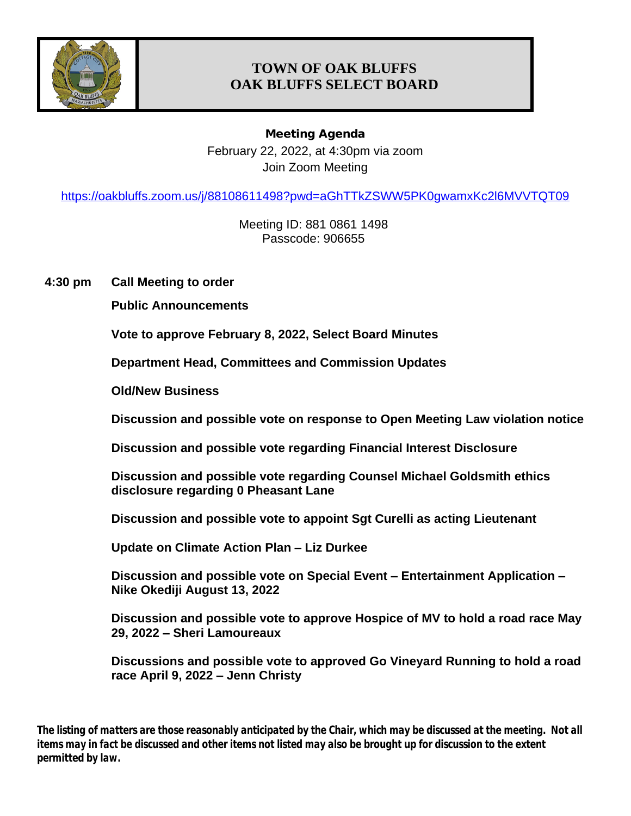

# **TOWN OF OAK BLUFFS OAK BLUFFS SELECT BOARD**

**Meeting Agenda** February 22, 2022, at 4:30pm via zoom Join Zoom Meeting

<https://oakbluffs.zoom.us/j/88108611498?pwd=aGhTTkZSWW5PK0gwamxKc2l6MVVTQT09>

Meeting ID: 881 0861 1498 Passcode: 906655

**4:30 pm Call Meeting to order**

**Public Announcements**

**Vote to approve February 8, 2022, Select Board Minutes**

**Department Head, Committees and Commission Updates**

**Old/New Business**

**Discussion and possible vote on response to Open Meeting Law violation notice**

**Discussion and possible vote regarding Financial Interest Disclosure**

**Discussion and possible vote regarding Counsel Michael Goldsmith ethics disclosure regarding 0 Pheasant Lane**

**Discussion and possible vote to appoint Sgt Curelli as acting Lieutenant**

**Update on Climate Action Plan – Liz Durkee**

**Discussion and possible vote on Special Event – Entertainment Application – Nike Okediji August 13, 2022**

**Discussion and possible vote to approve Hospice of MV to hold a road race May 29, 2022 – Sheri Lamoureaux**

**Discussions and possible vote to approved Go Vineyard Running to hold a road race April 9, 2022 – Jenn Christy** 

*The listing of matters are those reasonably anticipated by the Chair, which may be discussed at the meeting. Not all items may in fact be discussed and other items not listed may also be brought up for discussion to the extent permitted by law.*